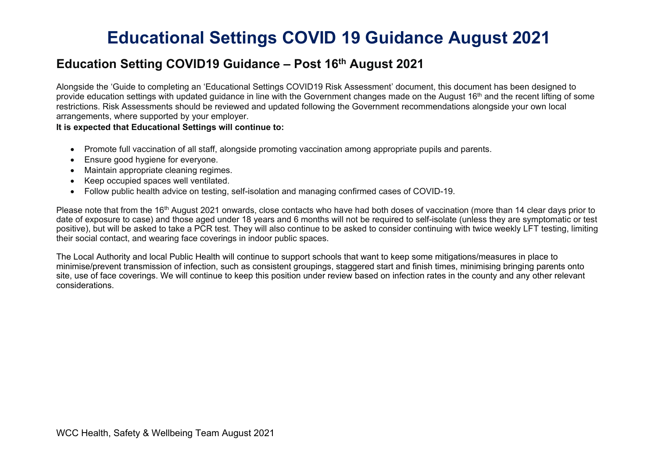### **Education Setting COVID19 Guidance – Post 16th August 2021**

Alongside the 'Guide to completing an 'Educational Settings COVID19 Risk Assessment' document, this document has been designed to provide education settings with updated quidance in line with the Government changes made on the August 16<sup>th</sup> and the recent lifting of some restrictions. Risk Assessments should be reviewed and updated following the Government recommendations alongside your own local arrangements, where supported by your employer.

### **It is expected that Educational Settings will continue to:**

- Promote full vaccination of all staff, alongside promoting vaccination among appropriate pupils and parents.
- Ensure good hygiene for everyone.
- Maintain appropriate cleaning regimes.
- Keep occupied spaces well ventilated.
- Follow public health advice on testing, self-isolation and managing confirmed cases of COVID-19.

Please note that from the 16<sup>th</sup> August 2021 onwards, close contacts who have had both doses of vaccination (more than 14 clear days prior to date of exposure to case) and those aged under 18 years and 6 months will not be required to self-isolate (unless they are symptomatic or test positive), but will be asked to take a PCR test. They will also continue to be asked to consider continuing with twice weekly LFT testing, limiting their social contact, and wearing face coverings in indoor public spaces.

The Local Authority and local Public Health will continue to support schools that want to keep some mitigations/measures in place to minimise/prevent transmission of infection, such as consistent groupings, staggered start and finish times, minimising bringing parents onto site, use of face coverings. We will continue to keep this position under review based on infection rates in the county and any other relevant considerations.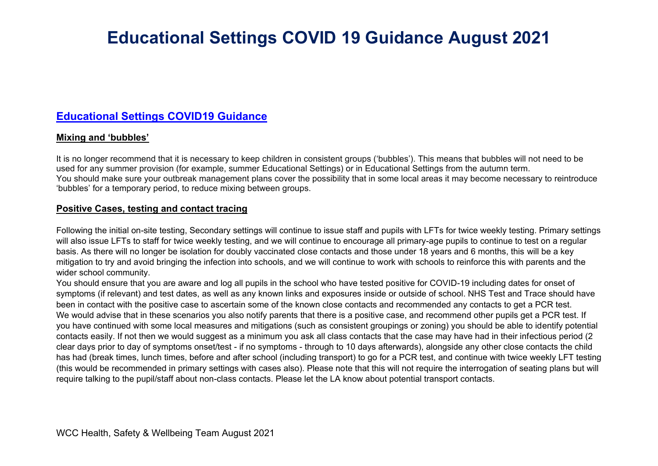### **[Educational Settings COVID19 Guidance](https://www.gov.uk/government/publications/actions-for-schools-during-the-coronavirus-outbreak/schools-covid-19-operational-guidance#risk-assessment)**

### **Mixing and 'bubbles'**

It is no longer recommend that it is necessary to keep children in consistent groups ('bubbles'). This means that bubbles will not need to be used for any summer provision (for example, summer Educational Settings) or in Educational Settings from the autumn term. You should make sure your outbreak management plans cover the possibility that in some local areas it may become necessary to reintroduce 'bubbles' for a temporary period, to reduce mixing between groups.

### **Positive Cases, testing and contact tracing**

Following the initial on-site testing, Secondary settings will continue to issue staff and pupils with LFTs for twice weekly testing. Primary settings will also issue LFTs to staff for twice weekly testing, and we will continue to encourage all primary-age pupils to continue to test on a regular basis. As there will no longer be isolation for doubly vaccinated close contacts and those under 18 years and 6 months, this will be a key mitigation to try and avoid bringing the infection into schools, and we will continue to work with schools to reinforce this with parents and the wider school community.

You should ensure that you are aware and log all pupils in the school who have tested positive for COVID-19 including dates for onset of symptoms (if relevant) and test dates, as well as any known links and exposures inside or outside of school. NHS Test and Trace should have been in contact with the positive case to ascertain some of the known close contacts and recommended any contacts to get a PCR test. We would advise that in these scenarios you also notify parents that there is a positive case, and recommend other pupils get a PCR test. If you have continued with some local measures and mitigations (such as consistent groupings or zoning) you should be able to identify potential contacts easily. If not then we would suggest as a minimum you ask all class contacts that the case may have had in their infectious period (2 clear days prior to day of symptoms onset/test - if no symptoms - through to 10 days afterwards), alongside any other close contacts the child has had (break times, lunch times, before and after school (including transport) to go for a PCR test, and continue with twice weekly LFT testing (this would be recommended in primary settings with cases also). Please note that this will not require the interrogation of seating plans but will require talking to the pupil/staff about non-class contacts. Please let the LA know about potential transport contacts.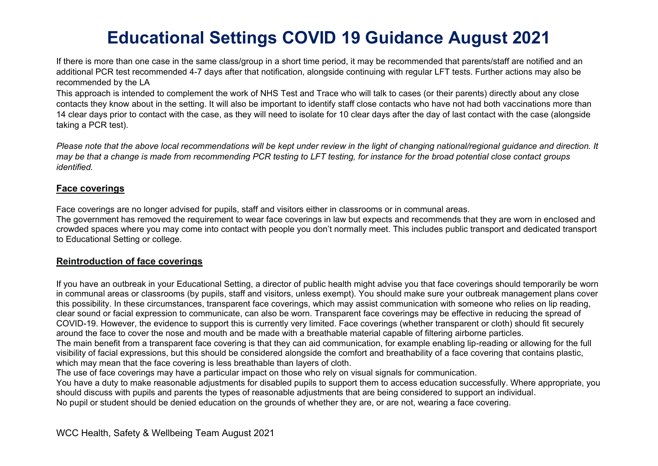If there is more than one case in the same class/group in a short time period, it may be recommended that parents/staff are notified and an additional PCR test recommended 4-7 days after that notification, alongside continuing with regular LFT tests. Further actions may also be recommended by the LA

This approach is intended to complement the work of NHS Test and Trace who will talk to cases (or their parents) directly about any close contacts they know about in the setting. It will also be important to identify staff close contacts who have not had both vaccinations more than 14 clear days prior to contact with the case, as they will need to isolate for 10 clear days after the day of last contact with the case (alongside taking a PCR test).

*Please note that the above local recommendations will be kept under review in the light of changing national/regional guidance and direction. It may be that a change is made from recommending PCR testing to LFT testing, for instance for the broad potential close contact groups identified.* 

### **Face coverings**

Face coverings are no longer advised for pupils, staff and visitors either in classrooms or in communal areas.

The government has removed the requirement to wear face coverings in law but expects and recommends that they are worn in enclosed and crowded spaces where you may come into contact with people you don't normally meet. This includes public transport and dedicated transport to Educational Setting or college.

### **Reintroduction of face coverings**

If you have an outbreak in your Educational Setting, a director of public health might advise you that face coverings should temporarily be worn in communal areas or classrooms (by pupils, staff and visitors, unless exempt). You should make sure your outbreak management plans cover this possibility. In these circumstances, transparent face coverings, which may assist communication with someone who relies on lip reading, clear sound or facial expression to communicate, can also be worn. Transparent face coverings may be effective in reducing the spread of COVID-19. However, the evidence to support this is currently very limited. Face coverings (whether transparent or cloth) should fit securely around the face to cover the nose and mouth and be made with a breathable material capable of filtering airborne particles.

The main benefit from a transparent face covering is that they can aid communication, for example enabling lip-reading or allowing for the full visibility of facial expressions, but this should be considered alongside the comfort and breathability of a face covering that contains plastic, which may mean that the face covering is less breathable than layers of cloth.

The use of face coverings may have a particular impact on those who rely on visual signals for communication.

You have a duty to make reasonable adjustments for disabled pupils to support them to access education successfully. Where appropriate, you should discuss with pupils and parents the types of reasonable adjustments that are being considered to support an individual.

No pupil or student should be denied education on the grounds of whether they are, or are not, wearing a face covering.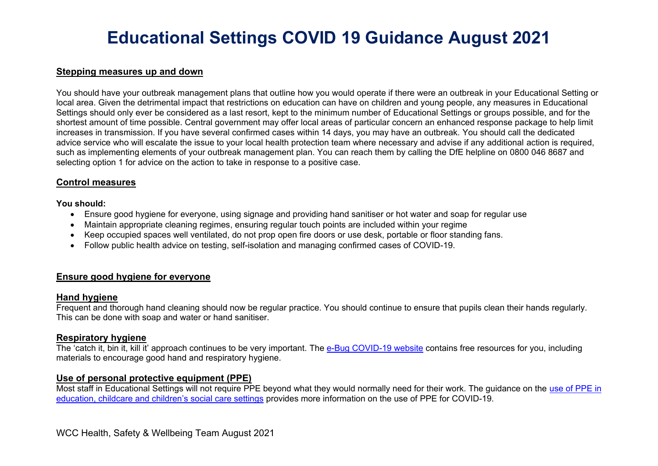### **Stepping measures up and down**

You should have your outbreak management plans that outline how you would operate if there were an outbreak in your Educational Setting or local area. Given the detrimental impact that restrictions on education can have on children and young people, any measures in Educational Settings should only ever be considered as a last resort, kept to the minimum number of Educational Settings or groups possible, and for the shortest amount of time possible. Central government may offer local areas of particular concern an enhanced response package to help limit increases in transmission. If you have several confirmed cases within 14 days, you may have an outbreak. You should call the dedicated advice service who will escalate the issue to your local health protection team where necessary and advise if any additional action is required, such as implementing elements of your outbreak management plan. You can reach them by calling the DfE helpline on 0800 046 8687 and selecting option 1 for advice on the action to take in response to a positive case.

### **Control measures**

**You should:**

- Ensure good hygiene for everyone, using signage and providing hand sanitiser or hot water and soap for regular use
- Maintain appropriate cleaning regimes, ensuring regular touch points are included within your regime
- Keep occupied spaces well ventilated, do not prop open fire doors or use desk, portable or floor standing fans.
- Follow public health advice on testing, self-isolation and managing confirmed cases of COVID-19.

### **Ensure good hygiene for everyone**

### **Hand hygiene**

Frequent and thorough hand cleaning should now be regular practice. You should continue to ensure that pupils clean their hands regularly. This can be done with soap and water or hand sanitiser.

### **Respiratory hygiene**

The 'catch it, bin it, kill it' approach continues to be very important. The [e-Bug COVID-19 website](https://e-bug.eu/eng_home.aspx?cc=eng&ss=1&t=Information%20about%20the%20Coronavirus) contains free resources for you, including materials to encourage good hand and respiratory hygiene.

### **Use of personal protective equipment (PPE)**

Most staff in Educational Settings will not require PPE beyond what they would normally need for their work. The guidance on the [use of](https://www.gov.uk/government/publications/safe-working-in-education-childcare-and-childrens-social-care) PPE in education, chil[dcare and children's social care settings](https://www.gov.uk/government/publications/safe-working-in-education-childcare-and-childrens-social-care) provides more information on the use of PPE for COVID-19.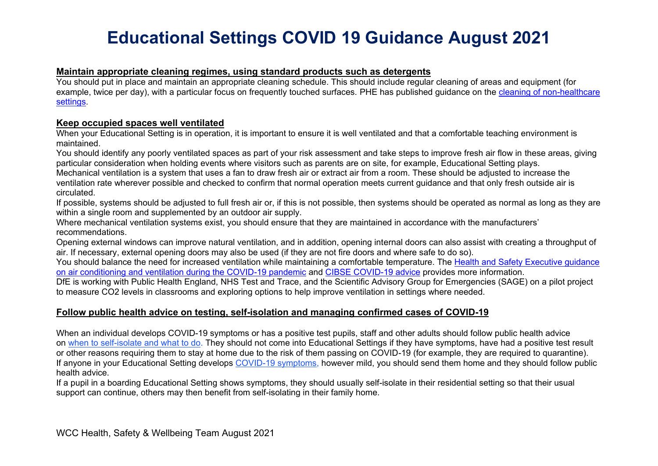### **Maintain appropriate cleaning regimes, using standard products such as detergents**

You should put in place and maintain an appropriate cleaning schedule. This should include regular cleaning of areas and equipment (for example, twice per day), with a particular focus on frequently touched surfaces. PHE has published guidance on the [cleaning of non-healthcare](https://www.gov.uk/government/publications/covid-19-decontamination-in-non-healthcare-settings)  [settings.](https://www.gov.uk/government/publications/covid-19-decontamination-in-non-healthcare-settings)

### **Keep occupied spaces well ventilated**

When your Educational Setting is in operation, it is important to ensure it is well ventilated and that a comfortable teaching environment is maintained.

You should identify any poorly ventilated spaces as part of your risk assessment and take steps to improve fresh air flow in these areas, giving particular consideration when holding events where visitors such as parents are on site, for example, Educational Setting plays.

Mechanical ventilation is a system that uses a fan to draw fresh air or extract air from a room. These should be adjusted to increase the ventilation rate wherever possible and checked to confirm that normal operation meets current guidance and that only fresh outside air is circulated.

If possible, systems should be adjusted to full fresh air or, if this is not possible, then systems should be operated as normal as long as they are within a single room and supplemented by an outdoor air supply.

Where mechanical ventilation systems exist, you should ensure that they are maintained in accordance with the manufacturers' recommendations.

Opening external windows can improve natural ventilation, and in addition, opening internal doors can also assist with creating a throughput of air. If necessary, external opening doors may also be used (if they are not fire doors and where safe to do so).

You should balance the need for increased ventilation while maintaining a comfortable temperature. The Health and Safety Executive quidance [on air conditioning and ventilation during the COVID-19 pandemic](https://www.hse.gov.uk/coronavirus/equipment-and-machinery/air-conditioning-and-ventilation/index.htm) and [CIBSE COVID-19 advice](https://www.cibse.org/coronavirus-covid-19) provides more information.

DfE is working with Public Health England, NHS Test and Trace, and the Scientific Advisory Group for Emergencies (SAGE) on a pilot project to measure CO2 levels in classrooms and exploring options to help improve ventilation in settings where needed.

### **Follow public health advice on testing, self-isolation and managing confirmed cases of COVID-19**

When an individual develops COVID-19 symptoms or has a positive test pupils, staff and other adults should follow public health advice on [when to self-isolate and what to do.](https://www.nhs.uk/conditions/coronavirus-covid-19/self-isolation-and-treatment/when-to-self-isolate-and-what-to-do/) They should not come into Educational Settings if they have symptoms, have had a positive test result or other reasons requiring them to stay at home due to the risk of them passing on COVID-19 (for example, they are required to quarantine). If anyone in your Educational Setting develops [COVID-19 symptoms,](https://www.nhs.uk/conditions/coronavirus-covid-19/symptoms/) however mild, you should send them home and they should follow public health advice.

If a pupil in a boarding Educational Setting shows symptoms, they should usually self-isolate in their residential setting so that their usual support can continue, others may then benefit from self-isolating in their family home.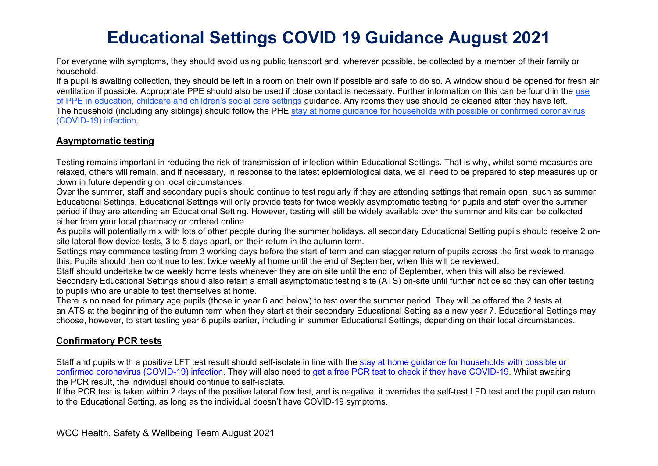For everyone with symptoms, they should avoid using public transport and, wherever possible, be collected by a member of their family or household.

If a pupil is awaiting collection, they should be left in a room on their own if possible and safe to do so. A window should be opened for fresh air ventilation if possible. Appropriate PPE should also be used if close contact is necessary. Further information on this can be found in the use of PPE in education, childcare and children's social care settings guidance. Any rooms they use should be cleaned after they have left. The household (including any siblings) should follow the PHE stay at home guidance for households with possible or confirmed coronavirus (COVID-19) infection.

### **Asymptomatic testing**

Testing remains important in reducing the risk of transmission of infection within Educational Settings. That is why, whilst some measures are relaxed, others will remain, and if necessary, in response to the latest epidemiological data, we all need to be prepared to step measures up or down in future depending on local circumstances.

Over the summer, staff and secondary pupils should continue to test regularly if they are attending settings that remain open, such as summer Educational Settings. Educational Settings will only provide tests for twice weekly asymptomatic testing for pupils and staff over the summer period if they are attending an Educational Setting. However, testing will still be widely available over the summer and kits can be collected either from your local pharmacy or ordered online.

As pupils will potentially mix with lots of other people during the summer holidays, all secondary Educational Setting pupils should receive 2 onsite lateral flow device tests, 3 to 5 days apart, on their return in the autumn term.

Settings may commence testing from 3 working days before the start of term and can stagger return of pupils across the first week to manage this. Pupils should then continue to test twice weekly at home until the end of September, when this will be reviewed.

Staff should undertake twice weekly home tests whenever they are on site until the end of September, when this will also be reviewed. Secondary Educational Settings should also retain a small asymptomatic testing site (ATS) on-site until further notice so they can offer testing to pupils who are unable to test themselves at home.

There is no need for primary age pupils (those in year 6 and below) to test over the summer period. They will be offered the 2 tests at an ATS at the beginning of the autumn term when they start at their secondary Educational Setting as a new year 7. Educational Settings may choose, however, to start testing year 6 pupils earlier, including in summer Educational Settings, depending on their local circumstances.

### **Confirmatory PCR tests**

Staff and pupils with a positive LFT test result should self-isolate in line with the stay at home guidance for households with possible or confirmed coronavirus (COVID-19) infection. They will also need to get a free PCR test to check if they have COVID-19. Whilst awaiting the PCR result, the individual should continue to self-isolate.

If the PCR test is taken within 2 days of the positive lateral flow test, and is negative, it overrides the self-test LFD test and the pupil can return to the Educational Setting, as long as the individual doesn't have COVID-19 symptoms.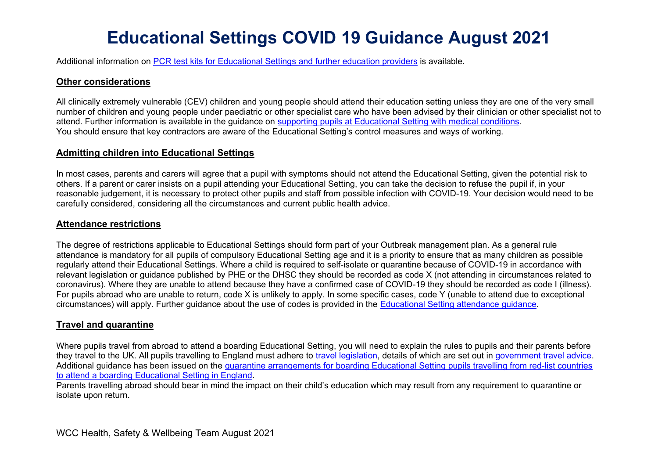Additional information on PCR test kits for Educational Settings and further education providers is available.

### **Other considerations**

All clinically extremely vulnerable (CEV) children and young people should attend their education setting unless they are one of the very small number of children and young people under paediatric or other specialist care who have been advised by their clinician or other specialist not to attend. Further information is available in the guidance on supporting pupils at Educational Setting with medical conditions. You should ensure that key contractors are aware of the Educational Setting's control measures and ways of working.

### **Admitting children into Educational Settings**

In most cases, parents and carers will agree that a pupil with symptoms should not attend the Educational Setting, given the potential risk to others. If a parent or carer insists on a pupil attending your Educational Setting, you can take the decision to refuse the pupil if, in your reasonable judgement, it is necessary to protect other pupils and staff from possible infection with COVID-19. Your decision would need to be carefully considered, considering all the circumstances and current public health advice.

### **Attendance restrictions**

The degree of restrictions applicable to Educational Settings should form part of your Outbreak management plan. As a general rule attendance is mandatory for all pupils of compulsory Educational Setting age and it is a priority to ensure that as many children as possible regularly attend their Educational Settings. Where a child is required to self-isolate or quarantine because of COVID-19 in accordance with relevant legislation or guidance published by PHE or the DHSC they should be recorded as code X (not attending in circumstances related to coronavirus). Where they are unable to attend because they have a confirmed case of COVID-19 they should be recorded as code I (illness). For pupils abroad who are unable to return, code X is unlikely to apply. In some specific cases, code Y (unable to attend due to exceptional circumstances) will apply. Further guidance about the use of codes is provided in the Educational Setting attendance guidance.

### **Travel and quarantine**

Where pupils travel from abroad to attend a boarding Educational Setting, you will need to explain the rules to pupils and their parents before they travel to the UK. All pupils travelling to England must adhere to travel legislation, details of which are set out in government travel advice. Additional guidance has been issued on the quarantine arrangements for boarding Educational Setting pupils travelling from red-list countries to attend a boarding Educational Setting in England.

Parents travelling abroad should bear in mind the impact on their child's education which may result from any requirement to quarantine or isolate upon return.